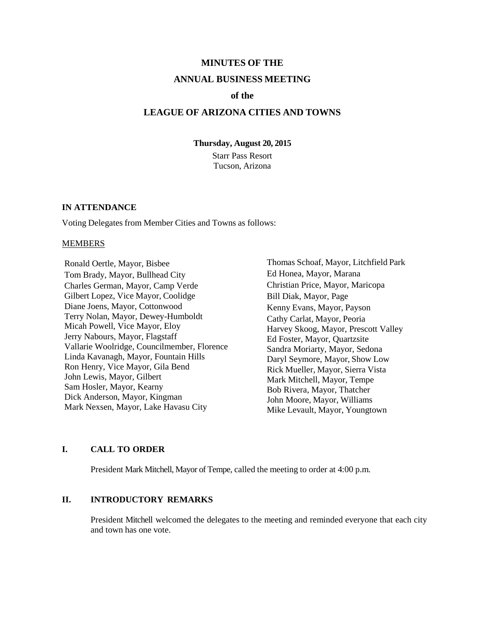# **MINUTES OF THE ANNUAL BUSINESS MEETING**

### **of the**

### **LEAGUE OF ARIZONA CITIES AND TOWNS**

**Thursday, August 20, 2015**

Starr Pass Resort Tucson, Arizona

#### **IN ATTENDANCE**

Voting Delegates from Member Cities and Towns as follows:

#### MEMBERS

Ronald Oertle, Mayor, Bisbee Tom Brady, Mayor, Bullhead City Charles German, Mayor, Camp Verde Gilbert Lopez, Vice Mayor, Coolidge Diane Joens, Mayor, Cottonwood Terry Nolan, Mayor, Dewey-Humboldt Micah Powell, Vice Mayor, Eloy Jerry Nabours, Mayor, Flagstaff Vallarie Woolridge, Councilmember, Florence Linda Kavanagh, Mayor, Fountain Hills Ron Henry, Vice Mayor, Gila Bend John Lewis, Mayor, Gilbert Sam Hosler, Mayor, Kearny Dick Anderson, Mayor, Kingman Mark Nexsen, Mayor, Lake Havasu City

Thomas Schoaf, Mayor, Litchfield Park Ed Honea, Mayor, Marana Christian Price, Mayor, Maricopa Bill Diak, Mayor, Page Kenny Evans, Mayor, Payson Cathy Carlat, Mayor, Peoria Harvey Skoog, Mayor, Prescott Valley Ed Foster, Mayor, Quartzsite Sandra Moriarty, Mayor, Sedona Daryl Seymore, Mayor, Show Low Rick Mueller, Mayor, Sierra Vista Mark Mitchell, Mayor, Tempe Bob Rivera, Mayor, Thatcher John Moore, Mayor, Williams Mike Levault, Mayor, Youngtown

### **I. CALL TO ORDER**

President Mark Mitchell, Mayor of Tempe, called the meeting to order at 4:00 p.m.

### **II. INTRODUCTORY REMARKS**

President Mitchell welcomed the delegates to the meeting and reminded everyone that each city and town has one vote.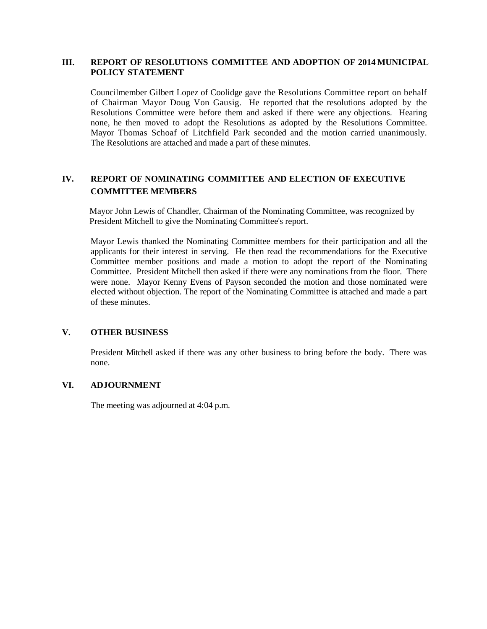### **III. REPORT OF RESOLUTIONS COMMITTEE AND ADOPTION OF 2014 MUNICIPAL POLICY STATEMENT**

Councilmember Gilbert Lopez of Coolidge gave the Resolutions Committee report on behalf of Chairman Mayor Doug Von Gausig. He reported that the resolutions adopted by the Resolutions Committee were before them and asked if there were any objections. Hearing none, he then moved to adopt the Resolutions as adopted by the Resolutions Committee. Mayor Thomas Schoaf of Litchfield Park seconded and the motion carried unanimously. The Resolutions are attached and made a part of these minutes.

### **IV. REPORT OF NOMINATING COMMITTEE AND ELECTION OF EXECUTIVE COMMITTEE MEMBERS**

Mayor John Lewis of Chandler, Chairman of the Nominating Committee, was recognized by President Mitchell to give the Nominating Committee's report.

Mayor Lewis thanked the Nominating Committee members for their participation and all the applicants for their interest in serving. He then read the recommendations for the Executive Committee member positions and made a motion to adopt the report of the Nominating Committee. President Mitchell then asked if there were any nominations from the floor. There were none. Mayor Kenny Evens of Payson seconded the motion and those nominated were elected without objection. The report of the Nominating Committee is attached and made a part of these minutes.

#### **V. OTHER BUSINESS**

President Mitchell asked if there was any other business to bring before the body. There was none.

### **VI. ADJOURNMENT**

The meeting was adjourned at 4:04 p.m.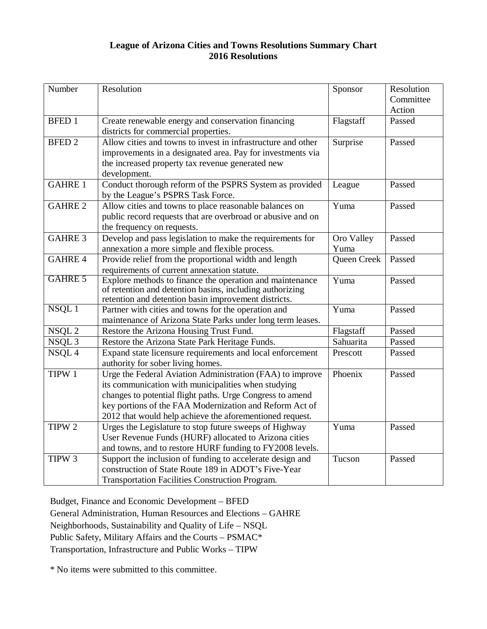### **League of Arizona Cities and Towns Resolutions Summary Chart 2016 Resolutions**

| Number            | Resolution                                                                                                                                                                                                                                                                                           | Sponsor            | Resolution<br>Committee<br>Action |
|-------------------|------------------------------------------------------------------------------------------------------------------------------------------------------------------------------------------------------------------------------------------------------------------------------------------------------|--------------------|-----------------------------------|
| <b>BFED 1</b>     | Create renewable energy and conservation financing<br>districts for commercial properties.                                                                                                                                                                                                           | Flagstaff          | Passed                            |
| <b>BFED 2</b>     | Allow cities and towns to invest in infrastructure and other<br>improvements in a designated area. Pay for investments via<br>the increased property tax revenue generated new<br>development.                                                                                                       | Surprise           | Passed                            |
| <b>GAHRE 1</b>    | Conduct thorough reform of the PSPRS System as provided<br>by the League's PSPRS Task Force.                                                                                                                                                                                                         | League             | Passed                            |
| <b>GAHRE 2</b>    | Allow cities and towns to place reasonable balances on<br>public record requests that are overbroad or abusive and on<br>the frequency on requests.                                                                                                                                                  | Yuma               | Passed                            |
| <b>GAHRE 3</b>    | Develop and pass legislation to make the requirements for<br>annexation a more simple and flexible process.                                                                                                                                                                                          | Oro Valley<br>Yuma | Passed                            |
| <b>GAHRE 4</b>    | Provide relief from the proportional width and length<br>requirements of current annexation statute.                                                                                                                                                                                                 | Queen Creek        | Passed                            |
| GAHRE 5           | Explore methods to finance the operation and maintenance<br>of retention and detention basins, including authorizing<br>retention and detention basin improvement districts.                                                                                                                         | Yuma               | Passed                            |
| NSQL 1            | Partner with cities and towns for the operation and<br>maintenance of Arizona State Parks under long term leases.                                                                                                                                                                                    | Yuma               | Passed                            |
| NSQL <sub>2</sub> | Restore the Arizona Housing Trust Fund.                                                                                                                                                                                                                                                              | Flagstaff          | Passed                            |
| NSQL <sub>3</sub> | Restore the Arizona State Park Heritage Funds.                                                                                                                                                                                                                                                       | Sahuarita          | Passed                            |
| NSQL4             | Expand state licensure requirements and local enforcement<br>authority for sober living homes.                                                                                                                                                                                                       | Prescott           | Passed                            |
| TIPW 1            | Urge the Federal Aviation Administration (FAA) to improve<br>its communication with municipalities when studying<br>changes to potential flight paths. Urge Congress to amend<br>key portions of the FAA Modernization and Reform Act of<br>2012 that would help achieve the aforementioned request. | Phoenix            | Passed                            |
| TIPW 2            | Urges the Legislature to stop future sweeps of Highway<br>User Revenue Funds (HURF) allocated to Arizona cities<br>and towns, and to restore HURF funding to FY2008 levels.                                                                                                                          | Yuma               | Passed                            |
| TIPW <sub>3</sub> | Support the inclusion of funding to accelerate design and<br>construction of State Route 189 in ADOT's Five-Year<br>Transportation Facilities Construction Program.                                                                                                                                  | Tucson             | Passed                            |

Budget, Finance and Economic Development – BFED

General Administration, Human Resources and Elections – GAHRE

Neighborhoods, Sustainability and Quality of Life – NSQL

Public Safety, Military Affairs and the Courts – PSMAC\*

Transportation, Infrastructure and Public Works – TIPW

\* No items were submitted to this committee.